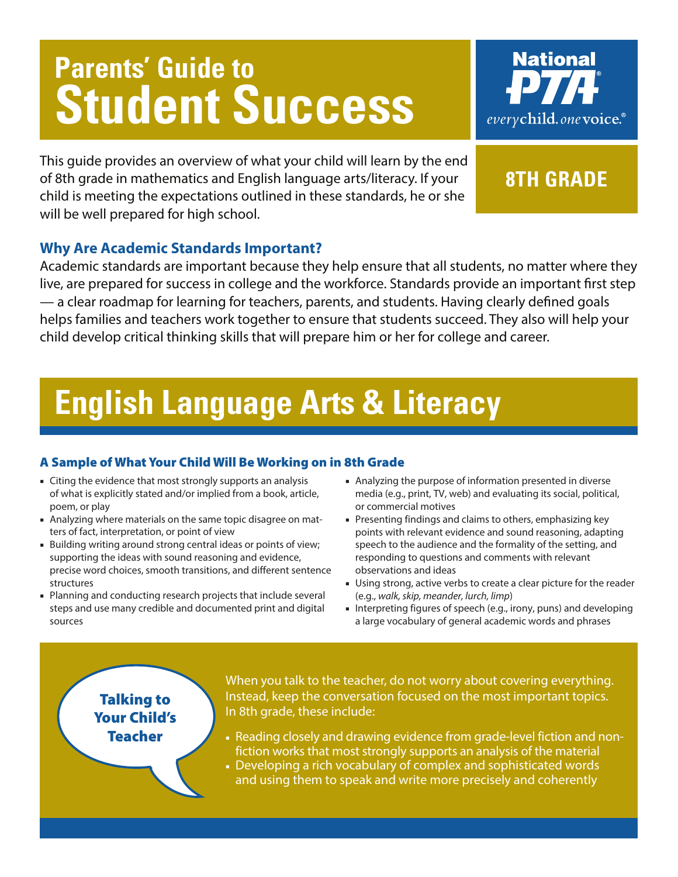# **Parents' Guide to Student Success**



This guide provides an overview of what your child will learn by the end of 8th grade in mathematics and English language arts/literacy. If your child is meeting the expectations outlined in these standards, he or she will be well prepared for high school.

## **8th grade**

### **Why Are Academic Standards Important?**

Academic standards are important because they help ensure that all students, no matter where they live, are prepared for success in college and the workforce. Standards provide an important first step — a clear roadmap for learning for teachers, parents, and students. Having clearly defined goals helps families and teachers work together to ensure that students succeed. They also will help your child develop critical thinking skills that will prepare him or her for college and career.

## **English Language Arts & Literacy**

### A Sample of What Your Child Will Be Working on in 8th Grade

- Citing the evidence that most strongly supports an analysis of what is explicitly stated and/or implied from a book, article, poem, or play
- Analyzing where materials on the same topic disagree on matters of fact, interpretation, or point of view
- Building writing around strong central ideas or points of view; supporting the ideas with sound reasoning and evidence, precise word choices, smooth transitions, and different sentence structures
- Planning and conducting research projects that include several steps and use many credible and documented print and digital sources
- Analyzing the purpose of information presented in diverse media (e.g., print, TV, web) and evaluating its social, political, or commercial motives
- Presenting findings and claims to others, emphasizing key points with relevant evidence and sound reasoning, adapting speech to the audience and the formality of the setting, and responding to questions and comments with relevant observations and ideas
- Using strong, active verbs to create a clear picture for the reader (e.g., *walk, skip, meander, lurch, limp*)
- Interpreting figures of speech (e.g., irony, puns) and developing a large vocabulary of general academic words and phrases

### Talking to Your Child's Teacher

When you talk to the teacher, do not worry about covering everything. Instead, keep the conversation focused on the most important topics. In 8th grade, these include:

- Reading closely and drawing evidence from grade-level fiction and nonfiction works that most strongly supports an analysis of the material
- Developing a rich vocabulary of complex and sophisticated words and using them to speak and write more precisely and coherently